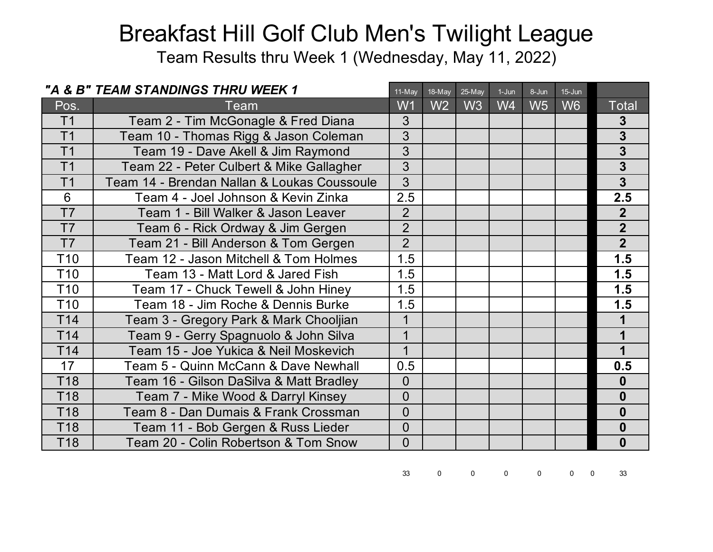Team Results thru Week 1 (Wednesday, May 11, 2022)

|                 | "A & B" TEAM STANDINGS THRU WEEK 1          | 11-May         | 18-May         | 25-May         | $1-Jun$        | 8-Jun          | $15 - Jun$     |                         |
|-----------------|---------------------------------------------|----------------|----------------|----------------|----------------|----------------|----------------|-------------------------|
| Pos.            | Team                                        | W <sub>1</sub> | W <sub>2</sub> | W <sub>3</sub> | W <sub>4</sub> | W <sub>5</sub> | W <sub>6</sub> | <b>Total</b>            |
| T <sub>1</sub>  | Team 2 - Tim McGonagle & Fred Diana         | 3              |                |                |                |                |                | 3                       |
| T <sub>1</sub>  | Team 10 - Thomas Rigg & Jason Coleman       | $\overline{3}$ |                |                |                |                |                | 3                       |
| T <sub>1</sub>  | Team 19 - Dave Akell & Jim Raymond          | 3              |                |                |                |                |                | $\overline{\mathbf{3}}$ |
| T <sub>1</sub>  | Team 22 - Peter Culbert & Mike Gallagher    | 3              |                |                |                |                |                | 3                       |
| T <sub>1</sub>  | Team 14 - Brendan Nallan & Loukas Coussoule | $\overline{3}$ |                |                |                |                |                | $\overline{\mathbf{3}}$ |
| $6\phantom{1}$  | Team 4 - Joel Johnson & Kevin Zinka         | 2.5            |                |                |                |                |                | 2.5                     |
| T <sub>7</sub>  | Team 1 - Bill Walker & Jason Leaver         | $\overline{2}$ |                |                |                |                |                | $\overline{2}$          |
| T7              | Team 6 - Rick Ordway & Jim Gergen           | $\overline{2}$ |                |                |                |                |                | $\overline{2}$          |
| T7              | Team 21 - Bill Anderson & Tom Gergen        | $\overline{2}$ |                |                |                |                |                | $\overline{2}$          |
| T <sub>10</sub> | Team 12 - Jason Mitchell & Tom Holmes       | 1.5            |                |                |                |                |                | 1.5                     |
| T <sub>10</sub> | Team 13 - Matt Lord & Jared Fish            | 1.5            |                |                |                |                |                | 1.5                     |
| T <sub>10</sub> | Team 17 - Chuck Tewell & John Hiney         | 1.5            |                |                |                |                |                | 1.5                     |
| T <sub>10</sub> | Team 18 - Jim Roche & Dennis Burke          | 1.5            |                |                |                |                |                | 1.5                     |
| T <sub>14</sub> | Team 3 - Gregory Park & Mark Chooljian      | 1              |                |                |                |                |                |                         |
| T14             | Team 9 - Gerry Spagnuolo & John Silva       | $\mathbf 1$    |                |                |                |                |                |                         |
| T <sub>14</sub> | Team 15 - Joe Yukica & Neil Moskevich       | $\mathbf 1$    |                |                |                |                |                | 1                       |
| 17              | Team 5 - Quinn McCann & Dave Newhall        | 0.5            |                |                |                |                |                | 0.5                     |
| T <sub>18</sub> | Team 16 - Gilson DaSilva & Matt Bradley     | $\Omega$       |                |                |                |                |                | $\bf{0}$                |
| T <sub>18</sub> | Team 7 - Mike Wood & Darryl Kinsey          | $\Omega$       |                |                |                |                |                | $\boldsymbol{0}$        |
| T18             | Team 8 - Dan Dumais & Frank Crossman        | $\overline{0}$ |                |                |                |                |                | $\boldsymbol{0}$        |
| T <sub>18</sub> | Team 11 - Bob Gergen & Russ Lieder          | $\overline{0}$ |                |                |                |                |                | $\bf{0}$                |
| T <sub>18</sub> | Team 20 - Colin Robertson & Tom Snow        | $\overline{0}$ |                |                |                |                |                | $\boldsymbol{0}$        |

33 0 0 0 0 0 0 33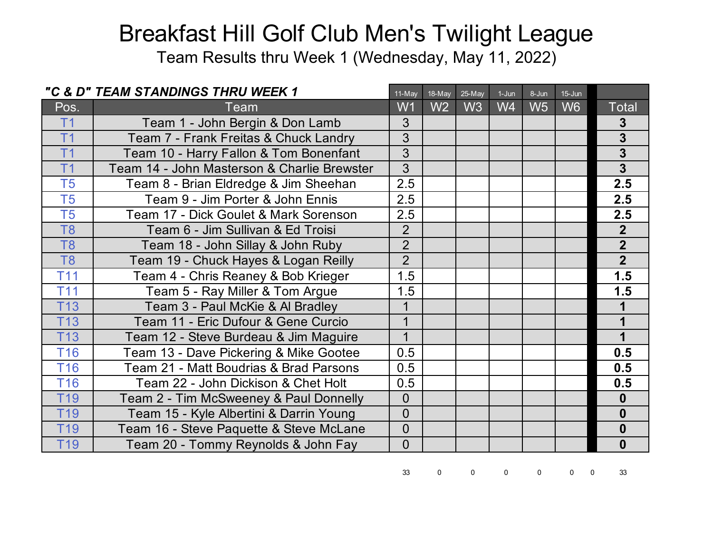Team Results thru Week 1 (Wednesday, May 11, 2022)

|                 | "C & D" TEAM STANDINGS THRU WEEK 1          | 11-May         | 18-May | 25-May         | $1-Jun$ | 8-Jun          | $15 - Jun$     |                         |
|-----------------|---------------------------------------------|----------------|--------|----------------|---------|----------------|----------------|-------------------------|
| Pos.            | Team                                        | W1             | W2     | W <sub>3</sub> | W4      | W <sub>5</sub> | W <sub>6</sub> | Total                   |
| T <sub>1</sub>  | Team 1 - John Bergin & Don Lamb             | 3              |        |                |         |                |                | 3                       |
| T <sub>1</sub>  | Team 7 - Frank Freitas & Chuck Landry       | 3              |        |                |         |                |                | $\overline{3}$          |
| T <sub>1</sub>  | Team 10 - Harry Fallon & Tom Bonenfant      | 3              |        |                |         |                |                | $\mathbf{3}$            |
| T <sub>1</sub>  | Team 14 - John Masterson & Charlie Brewster | 3              |        |                |         |                |                | $\overline{\mathbf{3}}$ |
| T <sub>5</sub>  | Team 8 - Brian Eldredge & Jim Sheehan       | 2.5            |        |                |         |                |                | 2.5                     |
| T <sub>5</sub>  | Team 9 - Jim Porter & John Ennis            | 2.5            |        |                |         |                |                | 2.5                     |
| T <sub>5</sub>  | Team 17 - Dick Goulet & Mark Sorenson       | 2.5            |        |                |         |                |                | 2.5                     |
| T <sub>8</sub>  | Team 6 - Jim Sullivan & Ed Troisi           | $\overline{2}$ |        |                |         |                |                | 2 <sup>1</sup>          |
| T <sub>8</sub>  | Team 18 - John Sillay & John Ruby           | $\overline{2}$ |        |                |         |                |                | $\overline{2}$          |
| T <sub>8</sub>  | Team 19 - Chuck Hayes & Logan Reilly        | $\overline{2}$ |        |                |         |                |                | 2 <sup>1</sup>          |
| T <sub>11</sub> | Team 4 - Chris Reaney & Bob Krieger         | 1.5            |        |                |         |                |                | 1.5                     |
| <b>T11</b>      | Team 5 - Ray Miller & Tom Argue             | 1.5            |        |                |         |                |                | 1.5                     |
| <b>T13</b>      | Team 3 - Paul McKie & Al Bradley            | 1              |        |                |         |                |                |                         |
| <b>T13</b>      | Team 11 - Eric Dufour & Gene Curcio         | $\overline{1}$ |        |                |         |                |                |                         |
| <b>T13</b>      | Team 12 - Steve Burdeau & Jim Maguire       |                |        |                |         |                |                |                         |
| <b>T16</b>      | Team 13 - Dave Pickering & Mike Gootee      | 0.5            |        |                |         |                |                | 0.5                     |
| <b>T16</b>      | Team 21 - Matt Boudrias & Brad Parsons      | 0.5            |        |                |         |                |                | 0.5                     |
| <b>T16</b>      | Team 22 - John Dickison & Chet Holt         | 0.5            |        |                |         |                |                | 0.5                     |
| T <sub>19</sub> | Team 2 - Tim McSweeney & Paul Donnelly      | $\overline{0}$ |        |                |         |                |                | $\bf{0}$                |
| T <sub>19</sub> | Team 15 - Kyle Albertini & Darrin Young     | $\overline{0}$ |        |                |         |                |                | $\boldsymbol{0}$        |
| T <sub>19</sub> | Team 16 - Steve Paquette & Steve McLane     | $\Omega$       |        |                |         |                |                | $\bf{0}$                |
| T <sub>19</sub> | Team 20 - Tommy Reynolds & John Fay         | $\Omega$       |        |                |         |                |                | $\boldsymbol{0}$        |

33 0 0 0 0 0 0 33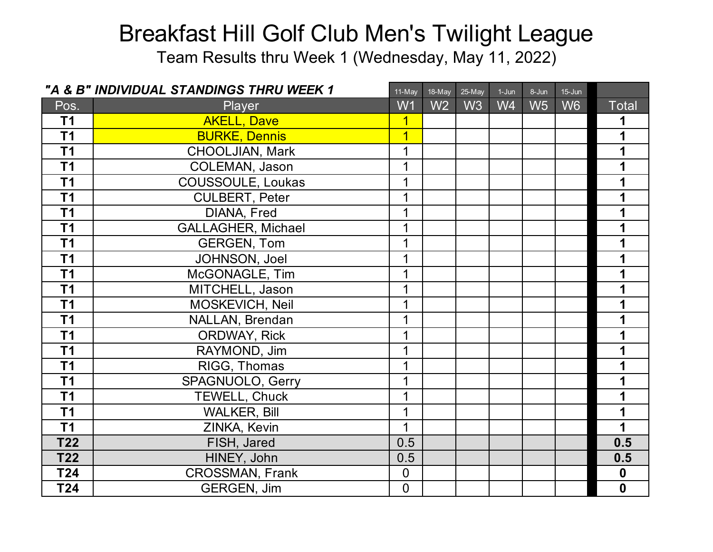Team Results thru Week 1 (Wednesday, May 11, 2022)

|                 | "A & B" INDIVIDUAL STANDINGS THRU WEEK 1 | 11-May         | 18-May         | 25-May | $1-Jun$        | 8-Jun          | $15 - Jun$     |              |
|-----------------|------------------------------------------|----------------|----------------|--------|----------------|----------------|----------------|--------------|
| Pos.            | Player                                   | W <sub>1</sub> | W <sub>2</sub> | W3     | W <sub>4</sub> | W <sub>5</sub> | W <sub>6</sub> | <b>Total</b> |
| T1              | <b>AKELL, Dave</b>                       | $\overline{1}$ |                |        |                |                |                | 1            |
| T <sub>1</sub>  | <b>BURKE, Dennis</b>                     | 1              |                |        |                |                |                | 1            |
| T <sub>1</sub>  | <b>CHOOLJIAN, Mark</b>                   |                |                |        |                |                |                |              |
| T <sub>1</sub>  | <b>COLEMAN, Jason</b>                    |                |                |        |                |                |                |              |
| T <sub>1</sub>  | COUSSOULE, Loukas                        |                |                |        |                |                |                |              |
| T <sub>1</sub>  | <b>CULBERT, Peter</b>                    | 1              |                |        |                |                |                | 1            |
| T <sub>1</sub>  | DIANA, Fred                              |                |                |        |                |                |                |              |
| T <sub>1</sub>  | <b>GALLAGHER, Michael</b>                |                |                |        |                |                |                |              |
| $\overline{11}$ | <b>GERGEN, Tom</b>                       | 1              |                |        |                |                |                |              |
| T <sub>1</sub>  | JOHNSON, Joel                            | 1              |                |        |                |                |                | 1            |
| T <sub>1</sub>  | McGONAGLE, Tim                           | 1              |                |        |                |                |                | 1            |
| T <sub>1</sub>  | MITCHELL, Jason                          |                |                |        |                |                |                | 1            |
| T1              | MOSKEVICH, Neil                          |                |                |        |                |                |                |              |
| T <sub>1</sub>  | NALLAN, Brendan                          | 1              |                |        |                |                |                | 1            |
| T1              | <b>ORDWAY, Rick</b>                      |                |                |        |                |                |                |              |
| T <sub>1</sub>  | RAYMOND, Jim                             |                |                |        |                |                |                |              |
| T <sub>1</sub>  | RIGG, Thomas                             |                |                |        |                |                |                |              |
| T1              | SPAGNUOLO, Gerry                         | 1              |                |        |                |                |                | 1            |
| T <sub>1</sub>  | TEWELL, Chuck                            |                |                |        |                |                |                | 1            |
| T <sub>1</sub>  | <b>WALKER, Bill</b>                      |                |                |        |                |                |                |              |
| T <sub>1</sub>  | ZINKA, Kevin                             | 1              |                |        |                |                |                | 1            |
| <b>T22</b>      | FISH, Jared                              | 0.5            |                |        |                |                |                | 0.5          |
| T22             | HINEY, John                              | 0.5            |                |        |                |                |                | 0.5          |
| T24             | <b>CROSSMAN, Frank</b>                   | $\overline{0}$ |                |        |                |                |                | $\mathbf 0$  |
| T24             | <b>GERGEN, Jim</b>                       | $\overline{0}$ |                |        |                |                |                | $\mathbf 0$  |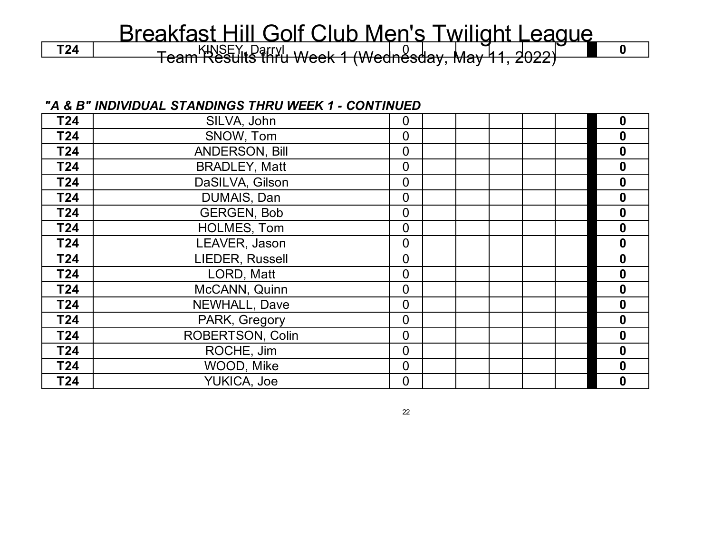T24 | KINSEY, Darryl Week 1 (Wednesday, May 11, 2022) **10** 

#### *"A & B" INDIVIDUAL STANDINGS THRU WEEK 1 - CONTINUED*

| T24 | SILVA, John           | $\overline{0}$ |  |  | $\bf{0}$         |
|-----|-----------------------|----------------|--|--|------------------|
| T24 | SNOW, Tom             | $\overline{0}$ |  |  | $\boldsymbol{0}$ |
| T24 | <b>ANDERSON, Bill</b> | $\overline{0}$ |  |  | $\boldsymbol{0}$ |
| T24 | <b>BRADLEY, Matt</b>  | $\Omega$       |  |  | $\boldsymbol{0}$ |
| T24 | DaSILVA, Gilson       | $\overline{0}$ |  |  | 0                |
| T24 | DUMAIS, Dan           | $\overline{0}$ |  |  | $\bf{0}$         |
| T24 | <b>GERGEN, Bob</b>    | $\overline{0}$ |  |  | 0                |
| T24 | HOLMES, Tom           | $\overline{0}$ |  |  | 0                |
| T24 | LEAVER, Jason         | $\overline{0}$ |  |  | $\bf{0}$         |
| T24 | LIEDER, Russell       | $\overline{0}$ |  |  | $\boldsymbol{0}$ |
| T24 | LORD, Matt            | $\overline{0}$ |  |  | $\boldsymbol{0}$ |
| T24 | McCANN, Quinn         | $\Omega$       |  |  | $\boldsymbol{0}$ |
| T24 | <b>NEWHALL, Dave</b>  | $\Omega$       |  |  | $\boldsymbol{0}$ |
| T24 | PARK, Gregory         | $\overline{0}$ |  |  | $\bf{0}$         |
| T24 | ROBERTSON, Colin      | $\overline{0}$ |  |  | $\mathbf 0$      |
| T24 | ROCHE, Jim            | $\overline{0}$ |  |  | $\bf{0}$         |
| T24 | WOOD, Mike            | $\overline{0}$ |  |  | $\bf{0}$         |
| T24 | YUKICA, Joe           | $\overline{0}$ |  |  | $\bf{0}$         |

22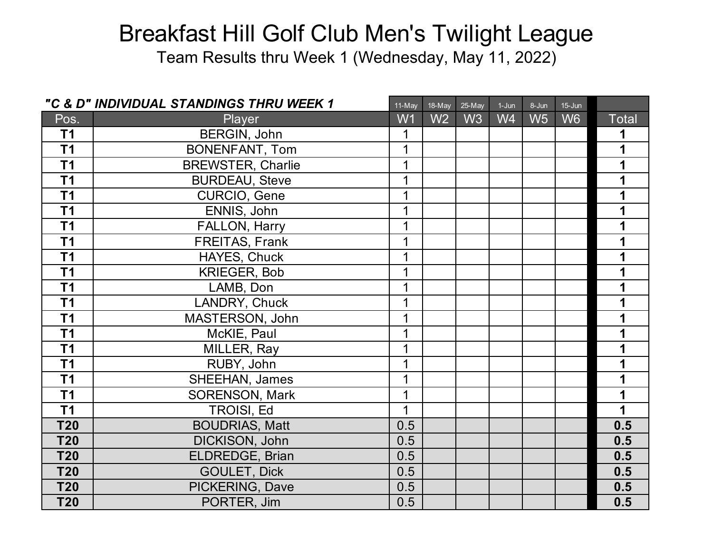Team Results thru Week 1 (Wednesday, May 11, 2022)

|                 | "C & D" INDIVIDUAL STANDINGS THRU WEEK 1 | 11-May | 18-May         | 25-May | $1-Jun$        | 8-Jun          | $15 - Jun$     |              |
|-----------------|------------------------------------------|--------|----------------|--------|----------------|----------------|----------------|--------------|
| Pos.            | Player                                   | W1     | W <sub>2</sub> | W3     | W <sub>4</sub> | W <sub>5</sub> | W <sub>6</sub> | <b>Total</b> |
| T <sub>1</sub>  | BERGIN, John                             | 1      |                |        |                |                |                | 1            |
| T1              | <b>BONENFANT, Tom</b>                    | 1      |                |        |                |                |                | 1            |
| $\overline{11}$ | <b>BREWSTER, Charlie</b>                 | 1      |                |        |                |                |                | 1            |
| T <sub>1</sub>  | <b>BURDEAU, Steve</b>                    | 1      |                |        |                |                |                |              |
| $\overline{11}$ | CURCIO, Gene                             | 1      |                |        |                |                |                |              |
| T <sub>1</sub>  | ENNIS, John                              | 1      |                |        |                |                |                | 1            |
| T <sub>1</sub>  | FALLON, Harry                            | 1      |                |        |                |                |                | 1            |
| T <sub>1</sub>  | FREITAS, Frank                           | 1      |                |        |                |                |                |              |
| $\overline{11}$ | HAYES, Chuck                             | 1      |                |        |                |                |                |              |
| T <sub>1</sub>  | <b>KRIEGER, Bob</b>                      | 1      |                |        |                |                |                | 1            |
| T <sub>1</sub>  | LAMB, Don                                | 1      |                |        |                |                |                | 1            |
| T <sub>1</sub>  | LANDRY, Chuck                            | 1      |                |        |                |                |                | 1            |
| T <sub>1</sub>  | MASTERSON, John                          | 1      |                |        |                |                |                | 1            |
| T <sub>1</sub>  | McKIE, Paul                              | 1      |                |        |                |                |                | 1            |
| T <sub>1</sub>  | MILLER, Ray                              | 1      |                |        |                |                |                | 1            |
| T <sub>1</sub>  | RUBY, John                               | 1      |                |        |                |                |                | 1            |
| T <sub>1</sub>  | SHEEHAN, James                           | 1      |                |        |                |                |                | 1            |
| T1              | <b>SORENSON, Mark</b>                    | 1      |                |        |                |                |                | 1            |
| T <sub>1</sub>  | TROISI, Ed                               | 1      |                |        |                |                |                | 1            |
| <b>T20</b>      | <b>BOUDRIAS, Matt</b>                    | 0.5    |                |        |                |                |                | 0.5          |
| <b>T20</b>      | <b>DICKISON, John</b>                    | 0.5    |                |        |                |                |                | 0.5          |
| <b>T20</b>      | ELDREDGE, Brian                          | 0.5    |                |        |                |                |                | 0.5          |
| <b>T20</b>      | <b>GOULET, Dick</b>                      | 0.5    |                |        |                |                |                | 0.5          |
| <b>T20</b>      | PICKERING, Dave                          | 0.5    |                |        |                |                |                | 0.5          |
| <b>T20</b>      | PORTER, Jim                              | 0.5    |                |        |                |                |                | 0.5          |